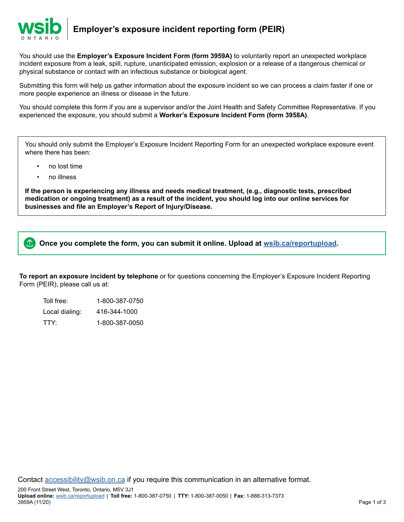

You should use the **Employer's Exposure Incident Form (form 3959A)** to voluntarily report an unexpected workplace incident exposure from a leak, spill, rupture, unanticipated emission, explosion or a release of a dangerous chemical or physical substance or contact with an infectious substance or biological agent.

Submitting this form will help us gather information about the exposure incident so we can process a claim faster if one or more people experience an illness or disease in the future.

You should complete this form if you are a supervisor and/or the Joint Health and Safety Committee Representative. If you experienced the exposure, you should submit a **Worker's Exposure Incident Form (form 3958A)**.

You should only submit the Employer's Exposure Incident Reporting Form for an unexpected workplace exposure event where there has been:

- no lost time
- no illness

**If the person is experiencing any illness and needs medical treatment, (e.g., diagnostic tests, prescribed medication or ongoing treatment) as a result of the incident, you should log into our online services for businesses and file an Employer's Report of Injury/Disease.**

 $\ket{\textcolor{red}{\textbf{1}}}$ **Once you complete the form, you can submit it online. Upload at [wsib.ca/reportupload](https://wsib.ca/reportupload).**

**To report an exposure incident by telephone** or for questions concerning the Employer's Exposure Incident Reporting Form (PEIR), please call us at:

Toll free: 1-800-387-0750 Local dialing: 416-344-1000 TTY: 1-800-387-0050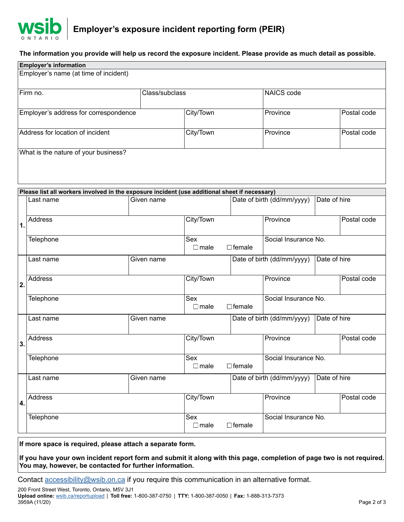

## **The information you provide will help us record the exposure incident. Please provide as much detail as possible.**

| <b>Employer's information</b>                                                                 |                                       |                                     |                |                                            |                                            |             |             |  |  |  |  |
|-----------------------------------------------------------------------------------------------|---------------------------------------|-------------------------------------|----------------|--------------------------------------------|--------------------------------------------|-------------|-------------|--|--|--|--|
| Employer's name (at time of incident)                                                         |                                       |                                     |                |                                            |                                            |             |             |  |  |  |  |
|                                                                                               | Firm no.                              |                                     | Class/subclass |                                            |                                            | NAICS code  |             |  |  |  |  |
|                                                                                               | Employer's address for correspondence |                                     | City/Town      |                                            | Province                                   |             | Postal code |  |  |  |  |
| Address for location of incident                                                              |                                       |                                     | City/Town      |                                            | Province                                   |             | Postal code |  |  |  |  |
| What is the nature of your business?                                                          |                                       |                                     |                |                                            |                                            |             |             |  |  |  |  |
| Please list all workers involved in the exposure incident (use additional sheet if necessary) |                                       |                                     |                |                                            |                                            |             |             |  |  |  |  |
| $\mathbf 1$ .                                                                                 | Last name                             |                                     |                | Date of birth (dd/mm/yyyy)<br>Date of hire |                                            |             |             |  |  |  |  |
|                                                                                               | Address                               | City/Town                           |                | Province                                   |                                            | Postal code |             |  |  |  |  |
|                                                                                               | Telephone                             | Sex<br>$\Box$ female<br>$\Box$ male |                | Social Insurance No.                       |                                            |             |             |  |  |  |  |
| 2.                                                                                            | Last name                             |                                     |                | Date of hire<br>Date of birth (dd/mm/yyyy) |                                            |             |             |  |  |  |  |
|                                                                                               | Address                               | City/Town                           |                | Province                                   |                                            | Postal code |             |  |  |  |  |
|                                                                                               | Telephone                             | Sex<br>$\Box$ female<br>$\Box$ male |                | Social Insurance No.                       |                                            |             |             |  |  |  |  |
|                                                                                               | Last name                             |                                     |                | Date of birth (dd/mm/yyyy)<br>Date of hire |                                            |             |             |  |  |  |  |
| 3.                                                                                            | <b>Address</b>                        | City/Town                           |                | Province                                   |                                            | Postal code |             |  |  |  |  |
|                                                                                               | Telephone                             | Sex<br>$\Box$ female<br>$\Box$ male |                | Social Insurance No.                       |                                            |             |             |  |  |  |  |
| 4.                                                                                            | Last name<br>Given name               |                                     |                |                                            | Date of birth (dd/mm/yyyy)<br>Date of hire |             |             |  |  |  |  |
|                                                                                               | <b>Address</b>                        | City/Town                           |                | Province                                   |                                            | Postal code |             |  |  |  |  |
|                                                                                               | Telephone                             | Sex<br>$\Box$ male<br>$\Box$ female |                | Social Insurance No.                       |                                            |             |             |  |  |  |  |

**If more space is required, please attach a separate form.**

**If you have your own incident report form and submit it along with this page, completion of page two is not required. You may, however, be contacted for further information.**

Contact **accessibility@wsib.on.ca** if you require this communication in an alternative format.

200 Front Street West, Toronto, Ontario, M5V 3J1 **Upload online:** [wsib.ca/reportupload](https://wsib.ca/reportupload) | **Toll free:** 1-800-387-0750 | **TTY:** 1-800-387-0050 | **Fax:** 1-888-313-7373 3959A (11/20) Page 2 of 3